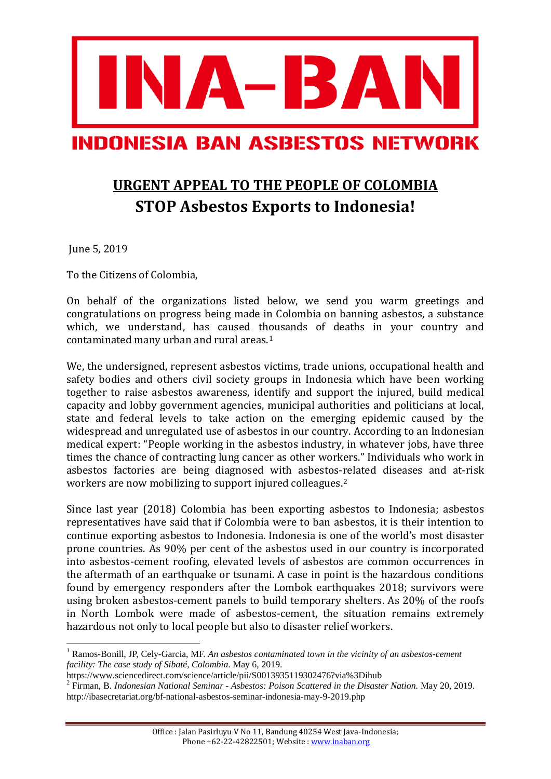

## **URGENT APPEAL TO THE PEOPLE OF COLOMBIA STOP Asbestos Exports to Indonesia!**

June 5, 2019

To the Citizens of Colombia,

On behalf of the organizations listed below, we send you warm greetings and congratulations on progress being made in Colombia on banning asbestos, a substance which, we understand, has caused thousands of deaths in your country and contaminated many urban and rural areas.[1](#page-0-0)

We, the undersigned, represent asbestos victims, trade unions, occupational health and safety bodies and others civil society groups in Indonesia which have been working together to raise asbestos awareness, identify and support the injured, build medical capacity and lobby government agencies, municipal authorities and politicians at local, state and federal levels to take action on the emerging epidemic caused by the widespread and unregulated use of asbestos in our country. According to an Indonesian medical expert: "People working in the asbestos industry, in whatever jobs, have three times the chance of contracting lung cancer as other workers." Individuals who work in asbestos factories are being diagnosed with asbestos-related diseases and at-risk workers are now mobilizing to support injured colleagues.[2](#page-0-1)

Since last year (2018) Colombia has been exporting asbestos to Indonesia; asbestos representatives have said that if Colombia were to ban asbestos, it is their intention to continue exporting asbestos to Indonesia. Indonesia is one of the world's most disaster prone countries. As 90% per cent of the asbestos used in our country is incorporated into asbestos-cement roofing, elevated levels of asbestos are common occurrences in the aftermath of an earthquake or tsunami. A case in point is the hazardous conditions found by emergency responders after the Lombok earthquakes 2018; survivors were using broken asbestos-cement panels to build temporary shelters. As 20% of the roofs in North Lombok were made of asbestos-cement, the situation remains extremely hazardous not only to local people but also to disaster relief workers.

<span id="page-0-0"></span> <sup>1</sup> Ramos-Bonill, JP, Cely-Garcia, MF. *An asbestos contaminated town in the vicinity of an asbestos-cement facility: The case study of Sibaté, Colombia*. May 6, 2019.

<https://www.sciencedirect.com/science/article/pii/S0013935119302476?via%3Dihub>

<span id="page-0-1"></span><sup>2</sup> Firman, B. *Indonesian National Seminar - Asbestos: Poison Scattered in the Disaster Nation.* May 20, 2019. <http://ibasecretariat.org/bf-national-asbestos-seminar-indonesia-may-9-2019.php>